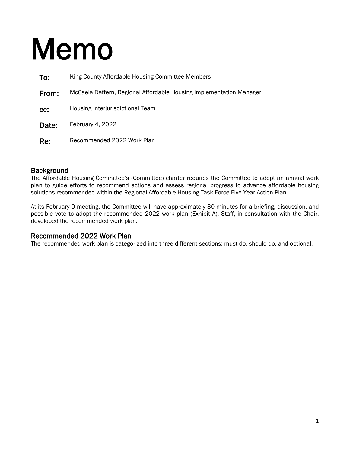## Memo

| To:   | King County Affordable Housing Committee Members                    |
|-------|---------------------------------------------------------------------|
| From: | McCaela Daffern, Regional Affordable Housing Implementation Manager |
| CC:   | Housing Interjurisdictional Team                                    |
| Date: | February 4, 2022                                                    |
| Re:   | Recommended 2022 Work Plan                                          |

Background<br>The Affordable Housing Committee's (Committee) charter requires the Committee to adopt an annual work plan to guide efforts to recommend actions and assess regional progress to advance affordable housing solutions recommended within the Regional Affordable Housing Task Force Five Year Action Plan.

At its February 9 meeting, the Committee will have approximately 30 minutes for a briefing, discussion, and possible vote to adopt the recommended 2022 work plan (Exhibit A). Staff, in consultation with the Chair, developed the recommended work plan.

Recommended 2022 Work Plan<br>The recommended work plan is categorized into three different sections: must do, should do, and optional.